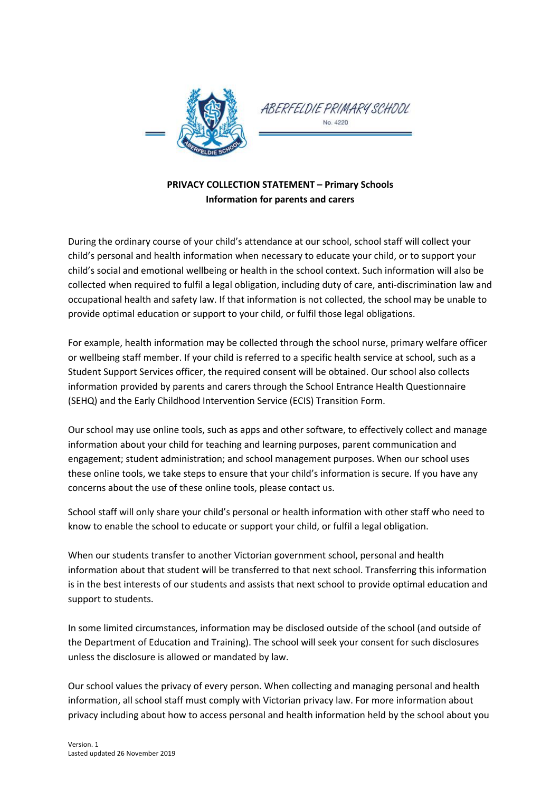



## **PRIVACY COLLECTION STATEMENT – Primary Schools Information for parents and carers**

During the ordinary course of your child's attendance at our school, school staff will collect your child's personal and health information when necessary to educate your child, or to support your child's social and emotional wellbeing or health in the school context. Such information will also be collected when required to fulfil a legal obligation, including duty of care, anti-discrimination law and occupational health and safety law. If that information is not collected, the school may be unable to provide optimal education or support to your child, or fulfil those legal obligations.

For example, health information may be collected through the school nurse, primary welfare officer or wellbeing staff member. If your child is referred to a specific health service at school, such as a Student Support Services officer, the required consent will be obtained. Our school also collects information provided by parents and carers through the School Entrance Health Questionnaire (SEHQ) and the Early Childhood Intervention Service (ECIS) Transition Form.

Our school may use online tools, such as apps and other software, to effectively collect and manage information about your child for teaching and learning purposes, parent communication and engagement; student administration; and school management purposes. When our school uses these online tools, we take steps to ensure that your child's information is secure. If you have any concerns about the use of these online tools, please contact us.

School staff will only share your child's personal or health information with other staff who need to know to enable the school to educate or support your child, or fulfil a legal obligation.

When our students transfer to another Victorian government school, personal and health information about that student will be transferred to that next school. Transferring this information is in the best interests of our students and assists that next school to provide optimal education and support to students.

In some limited circumstances, information may be disclosed outside of the school (and outside of the Department of Education and Training). The school will seek your consent for such disclosures unless the disclosure is allowed or mandated by law.

Our school values the privacy of every person. When collecting and managing personal and health information, all school staff must comply with Victorian privacy law. For more information about privacy including about how to access personal and health information held by the school about you